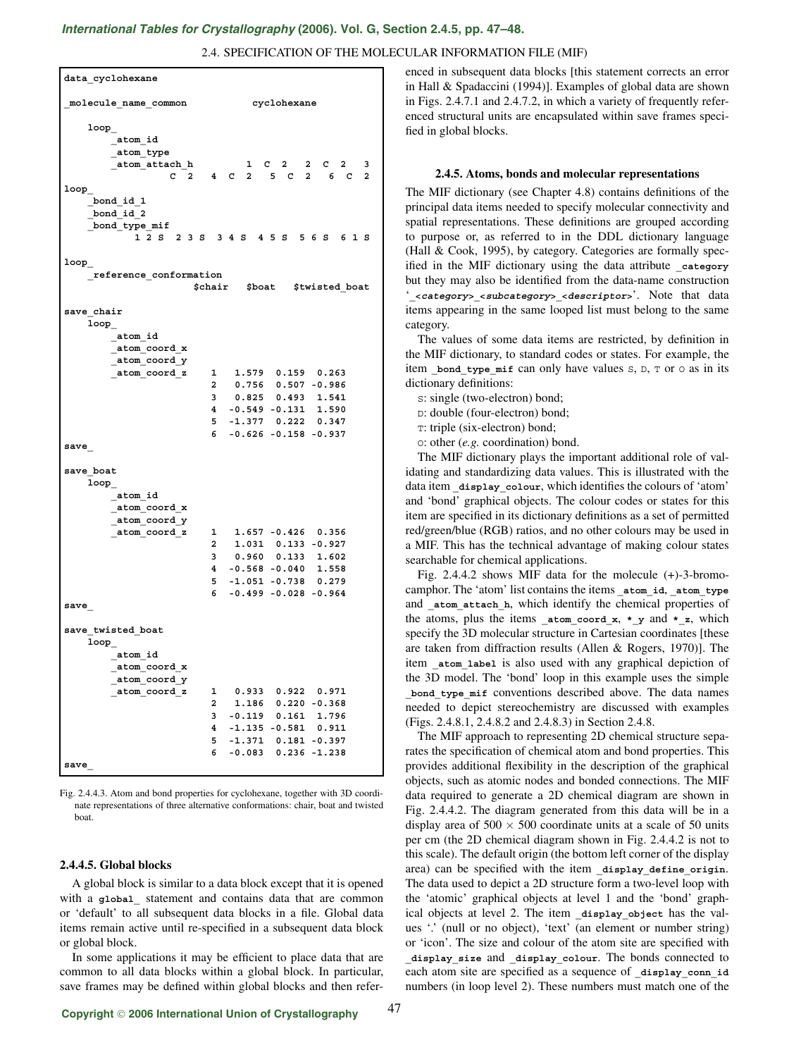# *[International Tables for Crystallography](http://it.iucr.org/Ga/ch2o4v0001/sec2o4o5/)* **(2006). Vol. G, Section 2.4.5, pp. 47–48.**

## 2.4. SPECIFICATION OF THE MOLECULAR INFORMATION FILE (MIF)

**data\_cyclohexane \_molecule\_name\_common cyclohexane loop\_ \_atom\_id \_atom\_type \_atom\_attach\_h 1 C 2 2 C 2 3 C2 4C2 5C2 6C2 loop\_ \_bond\_id\_1 \_bond\_id\_2 \_bond\_type\_mif 12S 23S 34S 45S 56S 61S loop\_ \_reference\_conformation \$chair \$boat \$twisted\_boat save\_chair loop\_ \_atom\_id \_atom\_coord\_x \_atom\_coord\_y \_atom\_coord\_z 1 1.579 0.159 0.263 2 0.756 0.507 -0.986 3 0.825 0.493 1.541 4 -0.549 -0.131 1.590 5 -1.377 0.222 0.347 6 -0.626 -0.158 -0.937 save\_ save\_boat loop\_ \_atom\_id \_atom\_coord\_x \_atom\_coord\_y \_atom\_coord\_z 1 1.657 -0.426 0.356 2 1.031 0.133 -0.927 3 0.960 0.133 1.602 4 -0.568 -0.040 1.558 5 -1.051 -0.738 0.279 6 -0.499 -0.028 -0.964 save\_ save\_twisted\_boat loop\_ \_atom\_id \_atom\_coord\_x \_atom\_coord\_y \_atom\_coord\_z 1 0.933 0.922 0.971 2 1.186 0.220 -0.368 3 -0.119 0.161 1.796 4 -1.135 -0.581 0.911 5 -1.371 0.181 -0.397 6 -0.083 0.236 -1.238 save\_**

Fig. 2.4.4.3. Atom and bond properties for cyclohexane, together with 3D coordinate representations of three alternative conformations: chair, boat and twisted boat.

#### **2.4.4.5. Global blocks**

A global block is similar to a data block except that it is opened with a **global** statement and contains data that are common or 'default' to all subsequent data blocks in a file. Global data items remain active until re-specified in a subsequent data block or global block.

In some applications it may be efficient to place data that are common to all data blocks within a global block. In particular, save frames may be defined within global blocks and then referenced in subsequent data blocks [this statement corrects an error in Hall & Spadaccini (1994)]. Examples of global data are shown in Figs. 2.4.7.1 and 2.4.7.2, in which a variety of frequently referenced structural units are encapsulated within save frames specified in global blocks.

#### **2.4.5. Atoms, bonds and molecular representations**

The MIF dictionary (see Chapter 4.8) contains definitions of the principal data items needed to specify molecular connectivity and spatial representations. These definitions are grouped according to purpose or, as referred to in the DDL dictionary language (Hall & Cook, 1995), by category. Categories are formally specified in the MIF dictionary using the data attribute category but they may also be identified from the data-name construction '**\_<category>\_<subcategory>\_<descriptor>**'. Note that data items appearing in the same looped list must belong to the same category.

The values of some data items are restricted, by definition in the MIF dictionary, to standard codes or states. For example, the item **bond** type  $\text{mit can only have values } s, b, \text{ or } o \text{ as in its }$ dictionary definitions:

S: single (two-electron) bond;

D: double (four-electron) bond;

T: triple (six-electron) bond;

O: other (*e.g.* coordination) bond.

The MIF dictionary plays the important additional role of validating and standardizing data values. This is illustrated with the data item display colour, which identifies the colours of 'atom' and 'bond' graphical objects. The colour codes or states for this item are specified in its dictionary definitions as a set of permitted red/green/blue (RGB) ratios, and no other colours may be used in a MIF. This has the technical advantage of making colour states searchable for chemical applications.

Fig. 2.4.4.2 shows MIF data for the molecule (+)-3-bromocamphor. The 'atom' list contains the items **\_atom\_id**, **\_atom\_type** and atom attach h, which identify the chemical properties of the atoms, plus the items **\_atom\_coord\_x**, **\*\_y** and **\*\_z**, which specify the 3D molecular structure in Cartesian coordinates [these are taken from diffraction results (Allen & Rogers, 1970)]. The item atom label is also used with any graphical depiction of the 3D model. The 'bond' loop in this example uses the simple **\_bond\_type\_mif** conventions described above. The data names needed to depict stereochemistry are discussed with examples (Figs. 2.4.8.1, 2.4.8.2 and 2.4.8.3) in Section 2.4.8.

The MIF approach to representing 2D chemical structure separates the specification of chemical atom and bond properties. This provides additional flexibility in the description of the graphical objects, such as atomic nodes and bonded connections. The MIF data required to generate a 2D chemical diagram are shown in Fig. 2.4.4.2. The diagram generated from this data will be in a display area of  $500 \times 500$  coordinate units at a scale of 50 units per cm (the 2D chemical diagram shown in Fig. 2.4.4.2 is not to this scale). The default origin (the bottom left corner of the display area) can be specified with the item **\_display\_define\_origin**. The data used to depict a 2D structure form a two-level loop with the 'atomic' graphical objects at level 1 and the 'bond' graphical objects at level 2. The item **\_display\_object** has the values '.' (null or no object), 'text' (an element or number string) or 'icon'. The size and colour of the atom site are specified with **\_display\_size** and **\_display\_colour**. The bonds connected to each atom site are specified as a sequence of display conn id numbers (in loop level 2). These numbers must match one of the